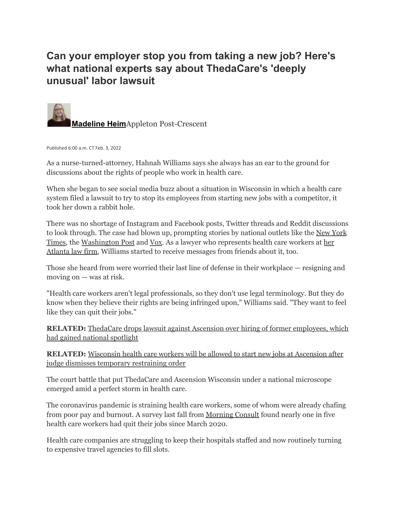## **Can your employer stop you from taking a new job? Here's what national experts say about ThedaCare's 'deeply unusual' labor lawsuit**



Published 6:00 a.m. CT Feb. 3, 2022

As a nurse-turned-attorney, Hahnah Williams says she always has an ear to the ground for discussions about the rights of people who work in health care.

When she began to see social media buzz about a situation in Wisconsin in which a health care system filed a lawsuit to try to stop its employees from starting new jobs with a competitor, it took her down a rabbit hole.

There was no shortage of Instagram and Facebook posts, Twitter threads and Reddit discussions to look through. The case had blown up, prompting stories by national outlets like the New [York](https://www.nytimes.com/2022/01/24/us/thedacare-lawsuit-wisconsin.html) [Times,](https://www.nytimes.com/2022/01/24/us/thedacare-lawsuit-wisconsin.html) the [Washington](https://www.washingtonpost.com/business/2022/01/27/employer-backlash-great-resignation/) Post and [Vox.](https://www.vox.com/coronavirus-covid19/22906266/thedacare-ascension-lawsuit-covid-nurses-shortage) As a lawyer who represents health care workers at [her](https://hahnahwilliams.com/about-the-firm/) [Atlanta](https://hahnahwilliams.com/about-the-firm/) law firm, Williams started to receive messages from friends about it, too.

Those she heard from were worried their last line of defense in their workplace — resigning and moving on — was at risk.

"Health care workers aren't legal professionals, so they don't use legal terminology. But they do know when they believe their rights are being infringed upon," Williams said. "They want to feel like they can quit their jobs."

**RELATED:** ThedaCare drops lawsuit against Ascension over hiring of former [employees,](https://www.postcrescent.com/story/news/2022/01/28/thedacare-drops-workers-lawsuit-against-ascension-wisconsin/9260783002/) which had gained national [spotlight](https://www.postcrescent.com/story/news/2022/01/28/thedacare-drops-workers-lawsuit-against-ascension-wisconsin/9260783002/)

**RELATED:** [Wisconsin](https://www.postcrescent.com/story/news/2022/01/24/thedacare-ascension-court-over-health-care-worker-employment/6635683001/) health care workers will be allowed to start new jobs at Ascension after judge dismisses temporary [restraining](https://www.postcrescent.com/story/news/2022/01/24/thedacare-ascension-court-over-health-care-worker-employment/6635683001/) order

The court battle that put ThedaCare and Ascension Wisconsin under a national microscope emerged amid a perfect storm in health care.

The coronavirus pandemic is straining health care workers, some of whom were already chafing from poor pay and burnout. A survey last fall from [Morning](https://morningconsult.com/2021/10/04/health-care-workers-series-part-2-workforce/) Consult found nearly one in five health care workers had quit their jobs since March 2020.

Health care companies are struggling to keep their hospitals staffed and now routinely turning to expensive travel agencies to fill slots.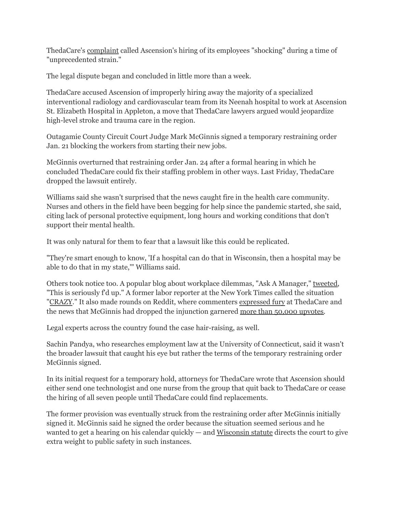ThedaCare's [complaint](https://www.documentcloud.org/documents/21186264-2022cv000068-sac4317479?responsive=1&title=1) called Ascension's hiring of its employees "shocking" during a time of "unprecedented strain."

The legal dispute began and concluded in little more than a week.

ThedaCare accused Ascension of improperly hiring away the majority of a specialized interventional radiology and cardiovascular team from its Neenah hospital to work at Ascension St. Elizabeth Hospital in Appleton, a move that ThedaCare lawyers argued would jeopardize high-level stroke and trauma care in the region.

Outagamie County Circuit Court Judge Mark McGinnis signed a temporary restraining order Jan. 21 blocking the workers from starting their new jobs.

McGinnis overturned that restraining order Jan. 24 after a formal hearing in which he concluded ThedaCare could fix their staffing problem in other ways. Last Friday, ThedaCare dropped the lawsuit entirely.

Williams said she wasn't surprised that the news caught fire in the health care community. Nurses and others in the field have been begging for help since the pandemic started, she said, citing lack of personal protective equipment, long hours and working conditions that don't support their mental health.

It was only natural for them to fear that a lawsuit like this could be replicated.

"They're smart enough to know, 'If a hospital can do that in Wisconsin, then a hospital may be able to do that in my state,'" Williams said.

Others took notice too. A popular blog about workplace dilemmas, "Ask A Manager," [tweeted](https://twitter.com/AskAManager/status/1484967544876408838), "This is seriously f'd up." A former labor reporter at the New York Times called the situation "[CRAZY](https://twitter.com/greenhousenyt/status/1485355704651337730?s=20&t=MmyQsqVnLjMDH2rjfjUhiw)." It also made rounds on Reddit, where commenters [expressed](https://www.reddit.com/r/nursing/comments/sbzoqa/i_applied_at_thedacare_just_so_i_can_personally/) fury at ThedaCare and the news that McGinnis had dropped the injunction garnered more than 50,000 [upvotes.](https://www.reddit.com/r/antiwork/comments/sbwaay/update_on_the_thedacare_case_judge_mcginnis_has/?utm_source=share&utm_medium=ios_app&utm_name=iossmf)

Legal experts across the country found the case hair-raising, as well.

Sachin Pandya, who researches employment law at the University of Connecticut, said it wasn't the broader lawsuit that caught his eye but rather the terms of the temporary restraining order McGinnis signed.

In its initial request for a temporary hold, attorneys for ThedaCare wrote that Ascension should either send one technologist and one nurse from the group that quit back to ThedaCare or cease the hiring of all seven people until ThedaCare could find replacements.

The former provision was eventually struck from the restraining order after McGinnis initially signed it. McGinnis said he signed the order because the situation seemed serious and he wanted to get a hearing on his calendar quickly — and [Wisconsin](https://docs.legis.wisconsin.gov/statutes/statutes/813/02) statute directs the court to give extra weight to public safety in such instances.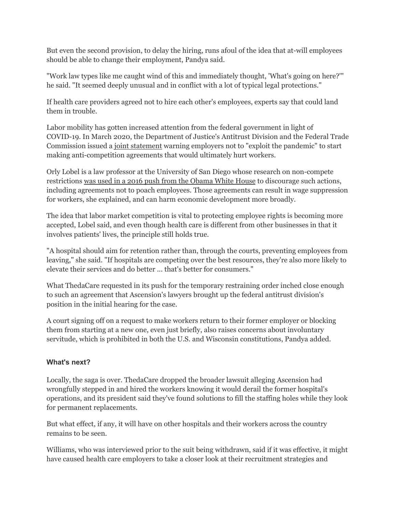But even the second provision, to delay the hiring, runs afoul of the idea that at-will employees should be able to change their employment, Pandya said.

"Work law types like me caught wind of this and immediately thought, 'What's going on here?'" he said. "It seemed deeply unusual and in conflict with a lot of typical legal protections."

If health care providers agreed not to hire each other's employees, experts say that could land them in trouble.

Labor mobility has gotten increased attention from the federal government in light of COVID-19. In March 2020, the Department of Justice's Antitrust Division and the Federal Trade Commission issued a joint [statement](https://www.justice.gov/opa/pr/justice-department-and-federal-trade-commission-jointly-issue-statement-covid-19-and) warning employers not to "exploit the pandemic" to start making anti-competition agreements that would ultimately hurt workers.

Orly Lobel is a law professor at the University of San Diego whose research on non-compete restrictions was used in a 2016 push from the [Obama](https://www.sandiego.edu/news/law/detail.php?_focus=57717) White House to discourage such actions, including agreements not to poach employees. Those agreements can result in wage suppression for workers, she explained, and can harm economic development more broadly.

The idea that labor market competition is vital to protecting employee rights is becoming more accepted, Lobel said, and even though health care is different from other businesses in that it involves patients' lives, the principle still holds true.

"A hospital should aim for retention rather than, through the courts, preventing employees from leaving," she said. "If hospitals are competing over the best resources, they're also more likely to elevate their services and do better ... that's better for consumers."

What ThedaCare requested in its push for the temporary restraining order inched close enough to such an agreement that Ascension's lawyers brought up the federal antitrust division's position in the initial hearing for the case.

A court signing off on a request to make workers return to their former employer or blocking them from starting at a new one, even just briefly, also raises concerns about involuntary servitude, which is prohibited in both the U.S. and Wisconsin constitutions, Pandya added.

## **What's next?**

Locally, the saga is over. ThedaCare dropped the broader lawsuit alleging Ascension had wrongfully stepped in and hired the workers knowing it would derail the former hospital's operations, and its president said they've found solutions to fill the staffing holes while they look for permanent replacements.

But what effect, if any, it will have on other hospitals and their workers across the country remains to be seen.

Williams, who was interviewed prior to the suit being withdrawn, said if it was effective, it might have caused health care employers to take a closer look at their recruitment strategies and